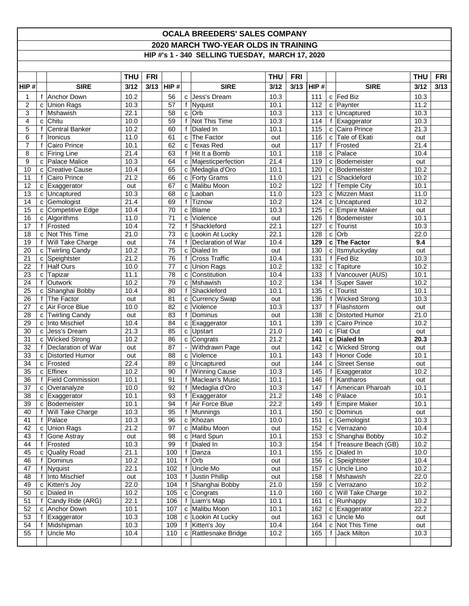## **OCALA BREEDERS' SALES COMPANY 2020 MARCH TWO-YEAR OLDS IN TRAINING HIP #'s 1 - 340 SELLING TUESDAY, MARCH 17, 2020**

|                         |        |                                         | <b>THU</b>   | <b>FRI</b> |                 |                |                                   | <b>THU</b>   | <b>FRI</b> |                   |              |                                           | <b>THU</b>        | <b>FRI</b> |
|-------------------------|--------|-----------------------------------------|--------------|------------|-----------------|----------------|-----------------------------------|--------------|------------|-------------------|--------------|-------------------------------------------|-------------------|------------|
| HIP#                    |        | <b>SIRE</b>                             | 3/12         | 3/13       | HIP#            |                | <b>SIRE</b>                       | 3/12         | 3/13       | HIP#              |              | <b>SIRE</b>                               | 3/12              | 3/13       |
| $\mathbf 1$             |        | f Anchor Down                           | 10.2         |            | 56              |                | c Jess's Dream                    | 10.3         |            | 111               |              | c Fed Biz                                 | 10.3              |            |
| 2                       |        | c Union Rags                            | 10.3         |            | 57              |                | f Nyquist                         | 10.1         |            | 112               |              | c   Paynter                               | 11.2              |            |
| 3                       |        | f Mshawish                              | 22.1         |            | $\overline{58}$ |                | $c$ Orb                           | 10.3         |            | 113               |              | c Uncaptured                              | 10.3              |            |
| $\overline{\mathbf{4}}$ | c      | Chitu                                   | 10.0         |            | $\overline{59}$ |                | f Not This Time                   | 10.3         |            | 114               |              | $f$ Exaggerator                           | 10.3              |            |
| 5                       |        | f Central Banker                        | 10.2         |            | 60              |                | f Dialed In                       | 10.1         |            | $\frac{115}{115}$ |              | c Cairo Prince                            | $\overline{21.3}$ |            |
| 6                       | f      | <b>Ironicus</b>                         | 11.0         |            | 61              | $\mathbf{C}$   | The Factor                        | out          |            | 116               |              | c Tale of Ekati                           | out               |            |
| $\overline{7}$          | f      | Cairo Prince                            | 10.1         |            | 62              | $\mathtt{C}$   | Texas Red                         | out          |            | 117               |              | f   Frosted                               | 21.4              |            |
| 8                       | c      | <b>Firing Line</b>                      | 21.4         |            | 63              | f              | Hit It a Bomb                     | 10.1         |            | 118               |              | c Palace                                  | 10.4              |            |
| 9                       |        | c Palace Malice                         | 10.3<br>10.4 |            | 64              |                | c Majesticperfection              | 21.4         |            | 119               |              | c Bodemeister<br>c Bodemeister            | out<br>10.2       |            |
| 10<br>11                | C      | <b>Creative Cause</b><br>f Cairo Prince | 21.2         |            | 65<br>66        |                | c Medaglia d'Oro<br>c Forty Grams | 10.1<br>11.0 |            | 120<br>121        |              | c Shackleford                             | 10.2              |            |
| 12                      |        | c Exaggerator                           | out          |            | 67              |                | c Malibu Moon                     | 10.2         |            | 122               |              | f Temple City                             | 10.1              |            |
| 13                      |        | c Uncaptured                            | 10.3         |            | 68              | $\mathbf{C}$   | Laoban                            | 11.0         |            | 123               |              | c Mizzen Mast                             | 11.0              |            |
| 14                      |        | c Gemologist                            | 21.4         |            | 69              | f              | Tiznow                            | 10.2         |            | 124               |              | c Uncaptured                              | 10.2              |            |
| 15                      |        | c Competitive Edge                      | 10.4         |            | 70              |                | c Blame                           | 10.3         |            | 125               |              | c Empire Maker                            | out               |            |
| 16                      |        | c Algorithms                            | 11.0         |            | 71              | $\mathbf{C}$   | Violence                          | out          |            | 126               |              | f Bodemeister                             | 10.1              |            |
| 17                      |        | f Frosted                               | 10.4         |            | $\overline{72}$ | $\mathsf{f}$   | Shackleford                       | 22.1         |            | 127               | $\mathbf{C}$ | Tourist                                   | 10.3              |            |
| 18                      |        | c Not This Time                         | 21.0         |            | 73              |                | c Lookin At Lucky                 | 22.1         |            | 128               | $\mathbf{C}$ | Orb                                       | 22.0              |            |
| 19                      |        | f Will Take Charge                      | out          |            | 74              | f              | Declaration of War                | 10.4         |            | 129               |              | c The Factor                              | 9.4               |            |
| 20                      |        | c Twirling Candy                        | 10.2         |            | 75              |                | c Dialed In                       | out          |            | 130               |              | c Itsmyluckyday                           | out               |            |
| 21                      | С      | Speightster                             | 21.2         |            | 76              | f              | <b>Cross Traffic</b>              | 10.4         |            | 131               |              | f Fed Biz                                 | 10.3              |            |
| 22                      |        | f Half Ours                             | 10.0         |            | 77              |                | c Union Rags                      | 10.2         |            | 132               |              | c Tapiture                                | 10.2              |            |
| 23                      | c      | Tapizar                                 | 11.1         |            | 78              | $\mathbf{C}$   | Constitution                      | 10.4         |            | 133               | f            | Vancouver (AUS)                           | 10.1              |            |
| 24                      |        | f Outwork                               | 10.2         |            | 79              |                | c Mshawish                        | 10.2         |            | 134               |              | f Super Saver                             | 10.2              |            |
| 25                      | C      | Shanghai Bobby                          | 10.4         |            | 80              | f              | Shackleford                       | 10.1         |            | 135               |              | c Tourist                                 | 10.1              |            |
| 26                      |        | f The Factor                            | out          |            | 81              |                | c Currency Swap                   | out          |            | 136               |              | f Wicked Strong                           | 10.3              |            |
| 27                      |        | c Air Force Blue                        | 10.0         |            | 82              |                | c Violence                        | 10.3         |            | 137               |              | f Flashstorm                              | out               |            |
| 28                      |        | c Twirling Candy                        | out          |            | 83              | f              | Dominus                           | out          |            | 138               |              | c Distorted Humor                         | 21.0              |            |
| 29                      |        | c Into Mischief                         | 10.4         |            | 84              | $\mathtt{C}$   | Exaggerator                       | 10.1         |            | 139               |              | c Cairo Prince                            | 10.2              |            |
| 30                      |        | c Jess's Dream                          | 21.3         |            | 85              |                | c Upstart                         | 21.0         |            | 140               |              | c Flat Out                                | out               |            |
| 31                      |        | c Wicked Strong                         | 10.2         |            | 86              |                | c Congrats                        | 21.2         |            | 141               |              | c Dialed In                               | 20.3              |            |
| 32                      |        | f   Declaration of War                  | out          |            | 87              | $\blacksquare$ | Withdrawn Page                    | out          |            | 142               |              | c Wicked Strong                           | out               |            |
| 33                      |        | c Distorted Humor                       | out          |            | 88              | $\mathbf{C}$   | Violence                          | 10.1         |            | 143               |              | f Honor Code                              | 10.1              |            |
| 34                      |        | c Frosted                               | 22.4         |            | 89              |                | c Uncaptured                      | out          |            | 144               |              | c Street Sense                            | out               |            |
| 35                      |        | c Effinex                               | 10.2         |            | 90              | f              | <b>Winning Cause</b>              | 10.3         |            | 145               |              | Exaggerator                               | 10.2              |            |
| 36                      |        | f Field Commission                      | 10.1         |            | 91              |                | Maclean's Music                   | 10.1         |            | 146               | f            | Kantharos                                 | out               |            |
| 37                      |        | c Overanalyze                           | 10.0         |            | 92              | f              | Medaglia d'Oro                    | 10.3         |            | 147               | f            | American Pharoah                          | 10.1              |            |
| 38                      |        | c Exaggerator                           | 10.1         |            | 93              |                | Exaggerator                       | 21.2         |            | 148               |              | c   Palace                                | 10.1              |            |
| 39                      |        | c Bodemeister                           | 10.1         |            | 94              | f              | Air Force Blue                    | 22.2         |            | 149               |              | f Empire Maker                            | 10.1              |            |
| 40                      |        | Will Take Charge                        | 10.3         |            | 95              |                | f Munnings                        | 10.1         |            | 150               |              | c Dominus                                 | out               |            |
| 41                      |        | f Palace                                | 10.3         |            | 96              |                | c Khozan                          | 10.0         |            | 151               |              | c Gemologist                              | 10.3              |            |
| 42                      |        | c Union Rags                            | 21.2         |            | 97              |                | c Malibu Moon                     | out          |            | 152               |              | c Verrazano                               | 10.4              |            |
| 43<br>44                | f<br>f | <b>Gone Astray</b><br>Frosted           | out<br>10.3  |            | 98              | f              | c Hard Spun<br>Dialed In          | 10.1         |            | 153               |              | c Shanghai Bobby<br>f Treasure Beach (GB) | 10.2<br>10.2      |            |
| 45                      |        |                                         | 21.1         |            | 99              | $\mathsf{f}$   |                                   | 10.3<br>10.1 |            | 154<br>155        |              | c Dialed In                               | 10.0              |            |
| 46                      | с      | <b>Quality Road</b><br>Dominus          | 10.2         |            | 100<br>101      | f              | Danza<br>Orb                      | out          |            | 156               |              | c Speightster                             | 10.4              |            |
| 47                      |        | <b>Nyquist</b>                          | 22.1         |            | 102             | f              | <b>Uncle Mo</b>                   | out          |            | 157               |              | c Uncle Lino                              | 10.2              |            |
| 48                      |        | Into Mischief                           | out          |            | 103             | f              | Justin Phillip                    | out          |            | 158               |              | f   Mshawish                              | 22.0              |            |
| 49                      | c      | Kitten's Joy                            | 22.0         |            | 104             | f              | Shanghai Bobby                    | 21.0         |            | 159               |              | c Verrazano                               | 10.2              |            |
| 50                      | C      | Dialed In                               | 10.2         |            | 105             |                | c Congrats                        | 11.0         |            | 160               |              | c Will Take Charge                        | 10.2              |            |
| 51                      |        | f Candy Ride (ARG)                      | 22.1         |            | 106             | f              | Liam's Map                        | 10.1         |            | 161               |              | c Runhappy                                | 10.2              |            |
| 52                      | c      | <b>Anchor Down</b>                      | 10.1         |            | 107             |                | c Malibu Moon                     | 10.1         |            | 162               |              | c Exaggerator                             | 22.2              |            |
| 53                      |        | $f$ Exaggerator                         | 10.3         |            | 108             |                | c Lookin At Lucky                 | out          |            | 163               |              | c Uncle Mo                                | out               |            |
| 54                      |        | Midshipman                              | 10.3         |            | 109             |                | f Kitten's Joy                    | 10.4         |            | 164               |              | c Not This Time                           | out               |            |
| 55                      |        | Uncle Mo                                | 10.4         |            | 110             |                | c Rattlesnake Bridge              | 10.2         |            | 165               |              | f Jack Milton                             | 10.3              |            |
|                         |        |                                         |              |            |                 |                |                                   |              |            |                   |              |                                           |                   |            |
|                         |        |                                         |              |            |                 |                |                                   |              |            |                   |              |                                           |                   |            |